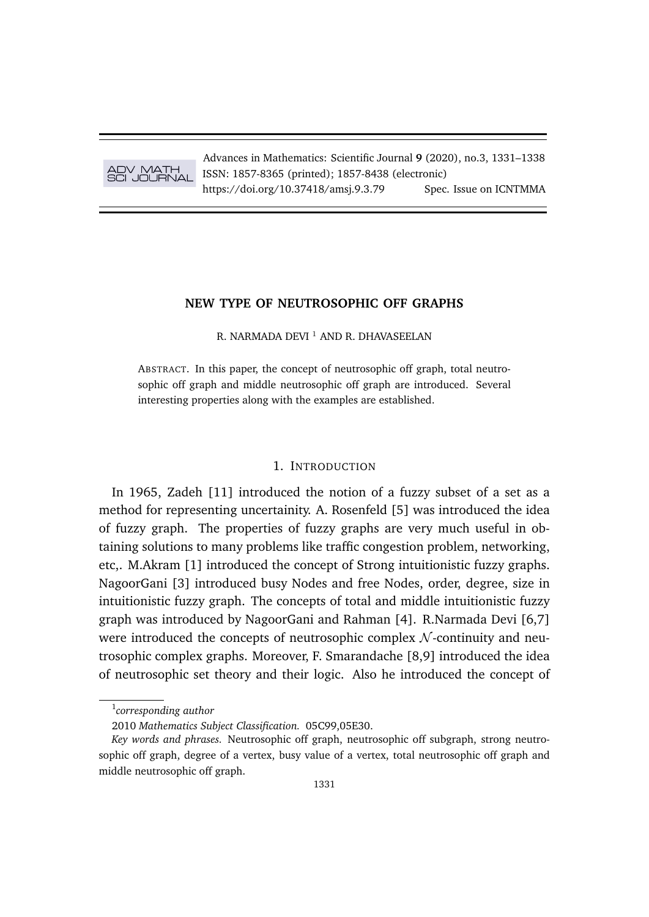

Advances in Mathematics: Scientific Journal **9** (2020), no.3, 1331–1338 ISSN: 1857-8365 (printed); 1857-8438 (electronic) https://doi.org/10.37418/amsi.9.3.79 Spec. Issue on ICNTMMA

# **NEW TYPE OF NEUTROSOPHIC OFF GRAPHS**

R. NARMADA DEVI<sup>1</sup> AND R. DHAVASEELAN

ABSTRACT. In this paper, the concept of neutrosophic off graph, total neutrosophic off graph and middle neutrosophic off graph are introduced. Several interesting properties along with the examples are established.

# 1. INTRODUCTION

In 1965, Zadeh [11] introduced the notion of a fuzzy subset of a set as a method for representing uncertainity. A. Rosenfeld [5] was introduced the idea of fuzzy graph. The properties of fuzzy graphs are very much useful in obtaining solutions to many problems like traffic congestion problem, networking, etc,. M.Akram [1] introduced the concept of Strong intuitionistic fuzzy graphs. NagoorGani [3] introduced busy Nodes and free Nodes, order, degree, size in intuitionistic fuzzy graph. The concepts of total and middle intuitionistic fuzzy graph was introduced by NagoorGani and Rahman [4]. R.Narmada Devi [6,7] were introduced the concepts of neutrosophic complex  $N$ -continuity and neutrosophic complex graphs. Moreover, F. Smarandache [8,9] introduced the idea of neutrosophic set theory and their logic. Also he introduced the concept of

<sup>1</sup> *corresponding author*

<sup>2010</sup> *Mathematics Subject Classification.* 05C99,05E30.

*Key words and phrases.* Neutrosophic off graph, neutrosophic off subgraph, strong neutrosophic off graph, degree of a vertex, busy value of a vertex, total neutrosophic off graph and middle neutrosophic off graph.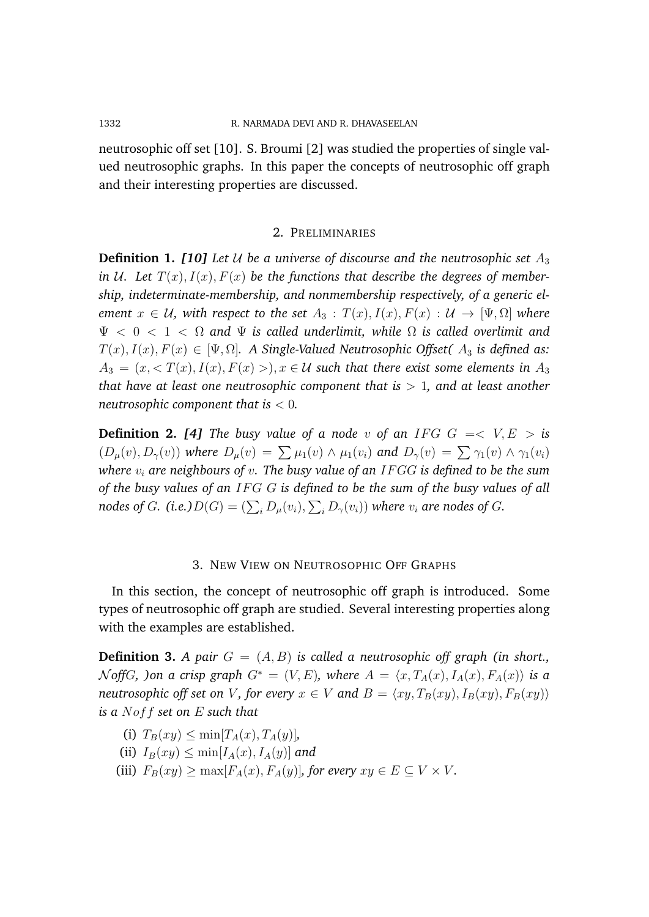neutrosophic off set [10]. S. Broumi [2] was studied the properties of single valued neutrosophic graphs. In this paper the concepts of neutrosophic off graph and their interesting properties are discussed.

### 2. PRELIMINARIES

**Definition 1. [10]** Let U be a universe of discourse and the neutrosophic set  $A_3$ in U. Let  $T(x)$ ,  $I(x)$ ,  $F(x)$  be the functions that describe the degrees of member*ship, indeterminate-membership, and nonmembership respectively, of a generic element*  $x \in U$ , with respect to the set  $A_3 : T(x)$ ,  $I(x)$ ,  $F(x) : U \rightarrow [\Psi, \Omega]$  where Ψ < 0 < 1 < Ω *and* Ψ *is called underlimit, while* Ω *is called overlimit and*  $T(x), I(x), F(x) \in [\Psi, \Omega]$ . A Single-Valued Neutrosophic Offset(  $A_3$  is defined as:  $A_3 = (x, \langle T(x), I(x), F(x) \rangle), x \in \mathcal{U}$  such that there exist some elements in  $A_3$ *that have at least one neutrosophic component that is* > 1*, and at least another neutrosophic component that is* < 0*.*

**Definition 2.** [4] The busy value of a node v of an IFG  $G = < V, E > i$ s  $(D_\mu(v), D_\gamma(v))$  where  $D_\mu(v) = \sum \mu_1(v) \wedge \mu_1(v_i)$  and  $D_\gamma(v) = \sum \gamma_1(v) \wedge \gamma_1(v_i)$ *where*  $v_i$  are neighbours of  $v$ . The busy value of an IFGG is defined to be the sum *of the busy values of an* IF G G *is defined to be the sum of the busy values of all* nodes of  $G$ . (i.e.) $D(G) = (\sum_i D_{\mu}(v_i), \sum_i D_{\gamma}(v_i))$  where  $v_i$  are nodes of  $G$ .

## 3. NEW VIEW ON NEUTROSOPHIC OFF GRAPHS

In this section, the concept of neutrosophic off graph is introduced. Some types of neutrosophic off graph are studied. Several interesting properties along with the examples are established.

**Definition 3.** *A pair*  $G = (A, B)$  *is called a neutrosophic off graph (in short.,* N offG, ) on a crisp graph  $G^* = (V, E)$ , where  $A = \langle x, T_A(x), I_A(x), F_A(x) \rangle$  is a *neutrosophic off set on V*, for every  $x \in V$  and  $B = \langle xy, T_B(xy), I_B(xy), F_B(xy) \rangle$ *is a* Noff *set on* E *such that*

- (i)  $T_B(xy) \le \min[T_A(x), T_A(y)]$
- (ii)  $I_B(xy) \le \min[I_A(x), I_A(y)]$  and
- (iii)  $F_B(xy) \ge \max[F_A(x), F_A(y)]$ *, for every*  $xy \in E \subseteq V \times V$ *.*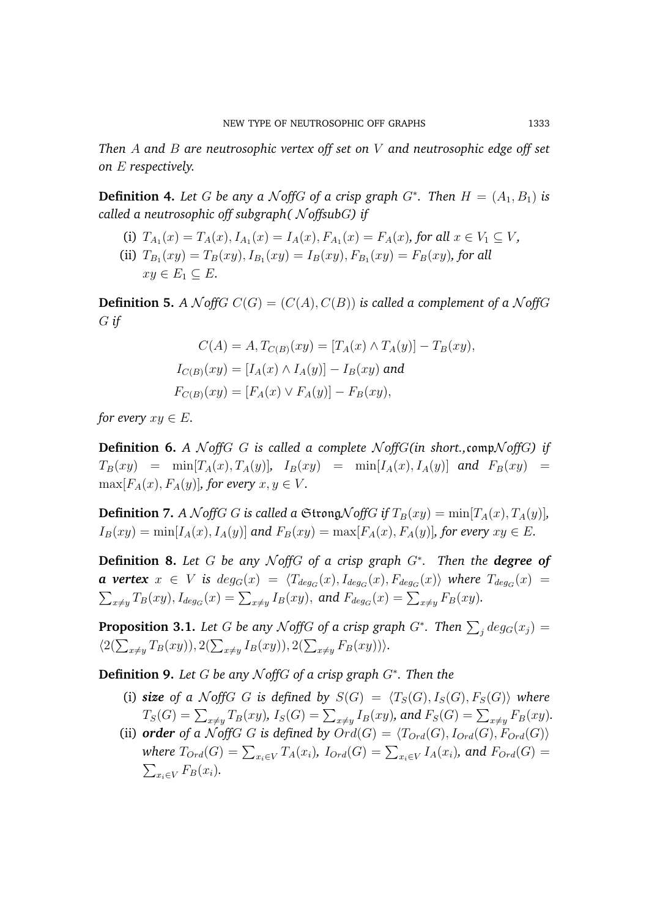*Then* A *and* B *are neutrosophic vertex off set on* V *and neutrosophic edge off set on* E *respectively.*

**Definition 4.** Let G be any a  $\mathcal{N}$  of G a crisp graph  $G^*$ . Then  $H = (A_1, B_1)$  is *called a neutrosophic off subgraph(*  $\mathcal N$  *offsubG*) if

- (i)  $T_{A_1}(x) = T_A(x), I_{A_1}(x) = I_A(x), F_{A_1}(x) = F_A(x)$ , for all  $x \in V_1 \subseteq V$ ,
- (ii)  $T_{B_1}(xy) = T_B(xy), I_{B_1}(xy) = I_B(xy), F_{B_1}(xy) = F_B(xy)$ , for all  $xy \in E_1 \subseteq E$ .

**Definition 5.** *A*  $\mathcal{N}$ *offG*  $C(G) = (C(A), C(B))$  *is called a complement of a*  $\mathcal{N}$ *offG* G *if*

$$
C(A) = A, T_{C(B)}(xy) = [T_A(x) \wedge T_A(y)] - T_B(xy),
$$
  
\n
$$
I_{C(B)}(xy) = [I_A(x) \wedge I_A(y)] - I_B(xy) \text{ and }
$$
  
\n
$$
F_{C(B)}(xy) = [F_A(x) \vee F_A(y)] - F_B(xy),
$$

*for every*  $xy \in E$ .

**Definition 6.** *A*  $\mathcal{N}$  *offG G is called a complete*  $\mathcal{N}$  *offG*(*in short.,comp* $\mathcal{N}$ *offG*) *if*  $T_B(xy) = \min[T_A(x), T_A(y)]$ ,  $I_B(xy) = \min[I_A(x), I_A(y)]$  and  $F_B(xy) =$  $\max[F_A(x), F_A(y)]$ *, for every*  $x, y \in V$ *.* 

**Definition 7.** *A*  $\mathcal{N}$  *offG G is called a*  $\mathfrak{String}\mathcal{N}$  *offG if*  $T_B(xy) = \min[T_A(x), T_A(y)]$ *,*  $I_B(xy) = \min[I_A(x), I_A(y)]$  and  $F_B(xy) = \max[F_A(x), F_A(y)]$ , for every  $xy \in E$ .

**Definition 8.** *Let* G *be any* N *off*G *of a crisp graph* G<sup>∗</sup> *. Then the degree of* **a** vertex  $x \in V$  is  $deg_G(x) = \langle T_{deg_G}(x), I_{deg_G}(x), F_{deg_G}(x) \rangle$  where  $T_{deg_G}(x) =$  $\sum_{x\neq y}T_B(xy),$   $I_{deg_G}(x)=\sum_{x\neq y}I_B(xy),$  and  $F_{deg_G}(x)=\sum_{x\neq y}F_B(xy).$ 

**Proposition 3.1.** Let  $G$  be any  $\mathcal N$ off $G$  of a crisp graph  $G^*$ . Then  $\sum_j deg_G(x_j) =$  $\langle 2(\sum_{x\neq y}T_B(xy)), 2(\sum_{x\neq y}I_B(xy)), 2(\sum_{x\neq y}F_B(xy))\rangle.$ 

**Definition 9.** *Let* G *be any* N *off*G *of a crisp graph* G<sup>∗</sup> *. Then the*

- (i) *size* of a NoffG G is defined by  $S(G) = \langle T_S(G), I_S(G), F_S(G) \rangle$  where  $T_S(G) = \sum_{x \neq y} T_B(xy)$ ,  $I_S(G) = \sum_{x \neq y} I_B(xy)$ , and  $F_S(G) = \sum_{x \neq y} F_B(xy)$ .
- (ii) **order** of a N off G G is defined by  $Ord(G) = \langle T_{Ord}(G), I_{Ord}(G), F_{Ord}(G) \rangle$ where  $T_{Ord}(G)=\sum_{x_i\in V}T_A(x_i)$ *,*  $I_{Ord}(G)=\sum_{x_i\in V}I_A(x_i)$ *, and*  $F_{Ord}(G)=$  $\sum_{x_i \in V} F_B(x_i)$ .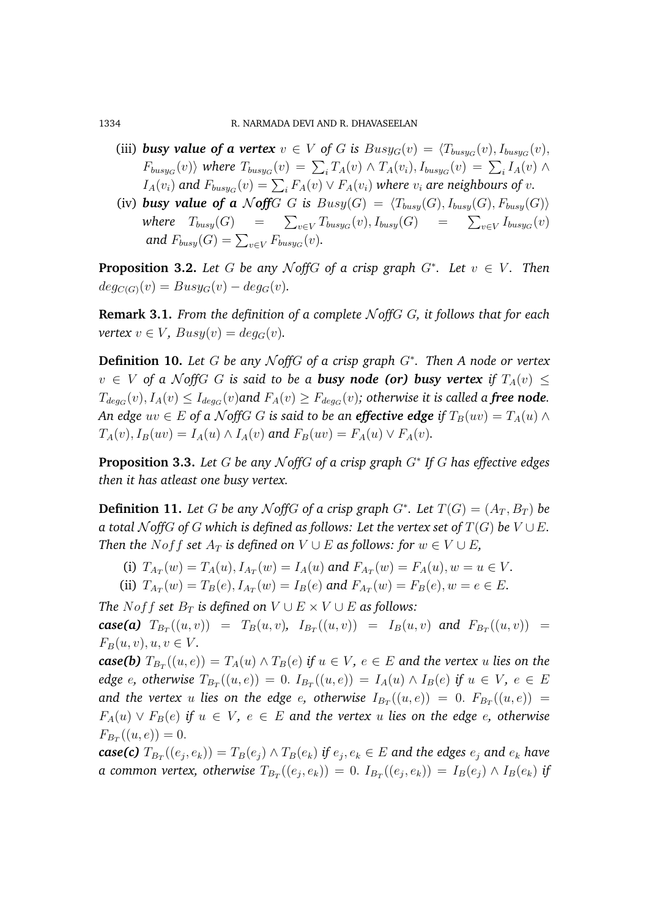1334 R. NARMADA DEVI AND R. DHAVASEELAN

- (iii) **busy value of a vertex**  $v \in V$  of G is  $Busy_G(v) = \langle T_{busy_G}(v), I_{busy_G}(v), \rangle$  $F_{busy_G}(v)$  *where*  $T_{busy_G}(v) = \sum_i T_A(v) \wedge T_A(v_i)$ ,  $I_{busy_G}(v) = \sum_i I_A(v) \wedge T_A(v)$  $I_A(v_i)$  and  $F_{busy_G}(v) = \sum_i F_A(v) \vee F_A(v_i)$  where  $v_i$  are neighbours of  $v$ .
- (iv) *busy value of a*  $\mathcal N$  *off*  $G$  *G is*  $Busy(G) = \langle T_{busy}(G), I_{busy}(G), F_{busy}(G) \rangle$ where  $T_{busy}(G)$  =  $\sum_{v \in V} T_{busy_G}(v)$ ,  $I_{busy_G}(G)$  =  $\sum_{v \in V} I_{busy_G}(v)$ and  $F_{busy}(G) = \sum_{v \in V} F_{busy_G}(v)$ .

**Proposition 3.2.** Let G be any  $N$  of  $G$  of a crisp graph  $G^*$ . Let  $v \in V$ . Then  $deg_{C(G)}(v) = Busy_G(v) - deg_G(v).$ 

**Remark 3.1.** *From the definition of a complete* N *off*G G*, it follows that for each vertex*  $v \in V$ *, Busy* $(v) = deg_G(v)$ *.* 

**Definition 10.** *Let* G *be any* N *off*G *of a crisp graph* G<sup>∗</sup> *. Then A node or vertex*  $v \in V$  of a N off G G is said to be a **busy node (or) busy vertex** if  $T_A(v) \leq$  $T_{deg_G}(v), I_A(v) \leq I_{deg_G}(v)$ and  $F_A(v) \geq F_{deg_G}(v)$ ; otherwise it is called a **free node.** *An edge*  $uv \in E$  *of a*  $\mathcal N$ *offG G is said to be an effective edge if*  $T_B(uv) = T_A(u) \wedge T_B(vv)$  $T_A(v)$ ,  $I_B(uv) = I_A(u) \wedge I_A(v)$  and  $F_B(uv) = F_A(u) \vee F_A(v)$ .

**Proposition 3.3.** *Let* G *be any* N *off*G *of a crisp graph* G<sup>∗</sup> *If* G *has effective edges then it has atleast one busy vertex.*

**Definition 11.** Let G be any  $N$  of  $G$  of a crisp graph  $G^*$ . Let  $T(G) = (A_T, B_T)$  be *a total*  $N$ *offG of*  $G$  *which is defined as follows: Let the vertex set of*  $T(G)$  *be*  $V \cup E$ *. Then the Noff set*  $A_T$  *is defined on*  $V \cup E$  *as follows: for*  $w \in V \cup E$ *,* 

(i) 
$$
T_{A_T}(w) = T_A(u), I_{A_T}(w) = I_A(u)
$$
 and  $F_{A_T}(w) = F_A(u), w = u \in V$ .

(ii) 
$$
T_{A_T}(w) = T_B(e), I_{A_T}(w) = I_B(e)
$$
 and  $F_{A_T}(w) = F_B(e), w = e \in E$ .

*The Noff set*  $B_T$  *is defined on*  $V \cup E \times V \cup E$  *as follows:*  $\textbf{case(a)}$   $T_{B_T}((u, v)) = T_B(u, v)$ ,  $I_{B_T}((u, v)) = I_B(u, v)$  and  $F_{B_T}((u, v)) =$ 

 $F_B(u, v), u, v \in V$ .

 $\textit{case(b)}\; T_{B_T}((u,e)) = T_A(u) \land T_B(e) \;\textit{if}\; u \in V,\, e \in E$  and the vertex  $u$  lies on the *edge*  $e$ , otherwise  $T_{B_T}((u, e)) = 0$ .  $I_{B_T}((u, e)) = I_A(u) \wedge I_B(e)$  if  $u \in V$ ,  $e \in E$ and the vertex  $u$  lies on the edge  $e$ , otherwise  $I_{B_T}((u,e)) \ = \ 0.\ \ F_{B_T}((u,e)) \ =$  $F_A(u)$  ∨  $F_B(e)$  *if*  $u \in V$ ,  $e \in E$  and the vertex u lies on the edge  $e$ , otherwise  $F_{B_T}((u, e)) = 0.$ 

 $\textbf{case(c)}\; T_{B_T}((e_j,e_k)) = T_{B}(e_j) \land T_{B}(e_k) \; \text{if}\; e_j, e_k \in E$  and the edges  $e_j$  and  $e_k$  have *a common vertex, otherwise*  $T_{B_T}((e_j, e_k)) = 0$ .  $I_{B_T}((e_j, e_k)) = I_B(e_j) \wedge I_B(e_k)$  if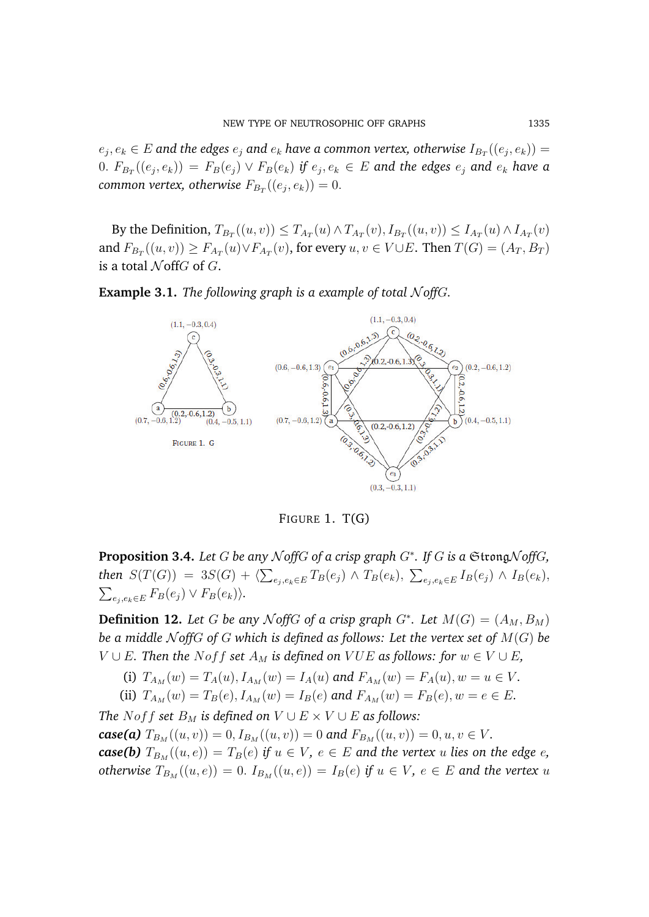$e_j, e_k \in E$  and the edges  $e_j$  and  $e_k$  have a common vertex, otherwise  $I_{B_T}((e_j, e_k)) =$  $(0. \; F_{B_T}((e_j, e_k)) \, = \, F_B(e_j) \vee F_B(e_k)$  if  $e_j, e_k \, \in \, E$  and the edges  $e_j$  and  $e_k$  have a  ${\sf common}$  vertex, otherwise  $F_{B_T}((e_j, e_k)) = 0.$ 

By the Definition,  $T_{B_T}((u, v)) \le T_{A_T}(u) \wedge T_{A_T}(v)$ ,  $I_{B_T}((u, v)) \le I_{A_T}(u) \wedge I_{A_T}(v)$ and  $F_{B_T}((u, v)) \ge F_{A_T}(u) \vee F_{A_T}(v)$ , for every  $u, v \in V \cup E$ . Then  $T(G) = (A_T, B_T)$ is a total  $\mathcal N$  of  $G$ .

**Example 3.1.** *The following graph is a example of total*  $N$  *offG.* 



FIGURE 1. T(G)

**Proposition 3.4.** *Let* G *be any* N *off*G *of a crisp graph* G<sup>∗</sup> *. If* G *is a* StrongN *off*G*,*  ${\it then}~~ S(T(G))~=~3S(G)+\langle \sum_{e_{j},e_{k}\in E}T_{B}(e_{j})\wedge T_{B}(e_{k}), ~\sum_{e_{j},e_{k}\in E}I_{B}(e_{j})\wedge I_{B}(e_{k}),$  $\sum_{e_j, e_k \in E} F_B(e_j) \vee F_B(e_k)$ 

**Definition 12.** Let G be any NoffG of a crisp graph  $G^*$ . Let  $M(G) = (A_M, B_M)$ *be a middle*  $N$  *offG of G which is defined as follows: Let the vertex set of*  $M(G)$  *be V* ∪ *E*. Then the Noff set  $A_M$  is defined on VUE as follows: for  $w \in V \cup E$ ,

(i)  $T_{A_M}(w) = T_A(u), I_{A_M}(w) = I_A(u)$  and  $F_{A_M}(w) = F_A(u), w = u \in V$ .

(ii)  $T_{A_M}(w) = T_B(e), I_{A_M}(w) = I_B(e)$  and  $F_{A_M}(w) = F_B(e), w = e \in E$ .

*The Noff set*  $B_M$  *is defined on*  $V \cup E \times V \cup E$  *as follows: case(a)*  $T_{B_M}((u, v)) = 0, I_{B_M}((u, v)) = 0$  *and*  $F_{B_M}((u, v)) = 0, u, v \in V$ *. case(b)*  $T_{B_M}((u, e)) = T_B(e)$  *if*  $u \in V$ *,*  $e \in E$  *and the vertex u lies on the edge e*, *otherwise*  $T_{B_M}((u, e)) = 0$ .  $I_{B_M}((u, e)) = I_B(e)$  *if*  $u \in V$ ,  $e \in E$  *and the vertex u*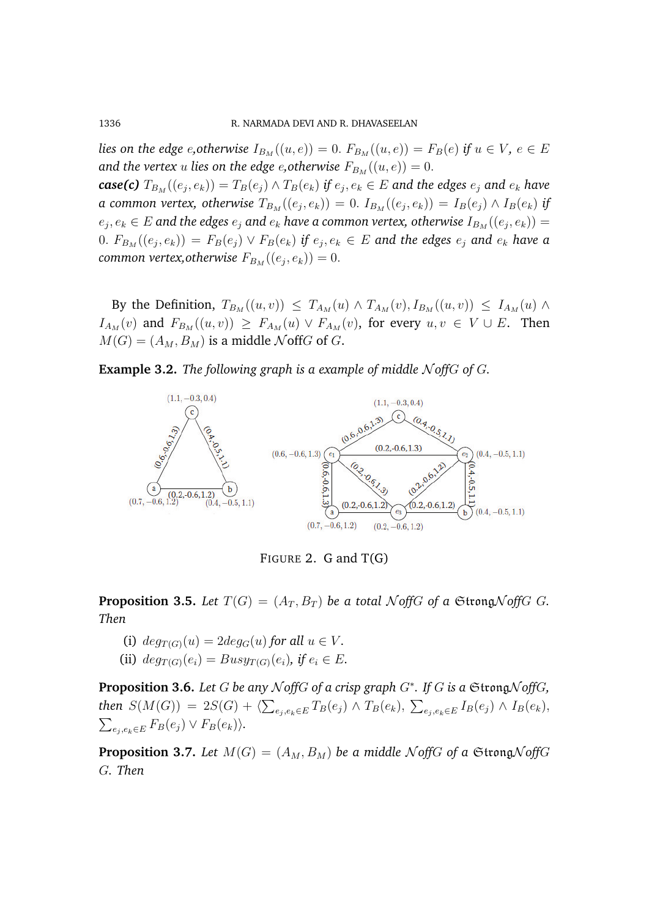*lies on the edge e, otherwise*  $I_{B_M}((u, e)) = 0$ .  $F_{B_M}((u, e)) = F_B(e)$  *if*  $u \in V$ ,  $e \in E$ *and the vertex u lies on the edge e, otherwise*  $F_{B_M}((u, e)) = 0$ .

 $\textbf{\textit{case(c)}}\ T_{B_M}((e_j,e_k)) = T_B(e_j) \land T_B(e_k)\ \textit{if}\ e_j,e_k \in E\ \textit{and}\ \textit{the} \ \textit{edges}\ e_j\ \textit{and}\ e_k\ \textit{have}$ *a common vertex, otherwise*  $T_{B_M}((e_j, e_k)) = 0$ *.*  $I_{B_M}((e_j, e_k)) = I_B(e_j) \wedge I_B(e_k)$  *if*  $e_j, e_k \in E$  and the edges  $e_j$  and  $e_k$  have a common vertex, otherwise  $I_{B_M} ((e_j, e_k)) =$  $(0. \; F_{B_M}((e_j, e_k)) \, = \, F_B(e_j) \vee F_B(e_k)$  if  $e_j, e_k \in E$  and the edges  $e_j$  and  $e_k$  have a  ${\sf common}\,$  vertex, ${\sf otherwise}\, \, F_{B_M}((e_j, e_k)) = 0.$ 

By the Definition,  $T_{B_M}((u, v)) \leq T_{A_M}(u) \wedge T_{A_M}(v)$ ,  $I_{B_M}((u, v)) \leq I_{A_M}(u) \wedge$  $I_{A_M}(v)$  and  $F_{B_M}((u, v)) \geq F_{A_M}(u) \vee F_{A_M}(v)$ , for every  $u, v \in V \cup E$ . Then  $M(G) = (A_M, B_M)$  is a middle NoffG of G.

**Example 3.2.** *The following graph is a example of middle*  $N$  *offG of G.* 



FIGURE 2. G and  $T(G)$ 

**Proposition 3.5.** Let  $T(G) = (A_T, B_T)$  be a total NoffG of a StrongNoffG G. *Then*

- (i)  $deg_{T(G)}(u) = 2deg_G(u)$  *for all*  $u \in V$ *.*
- (ii)  $deg_{T(G)}(e_i) = Busy_{T(G)}(e_i)$ , if  $e_i \in E$ .

**Proposition 3.6.** *Let* G *be any* N *off*G *of a crisp graph* G<sup>∗</sup> *. If* G *is a* StrongN *off*G*,*  $\text{then } S(M(G)) \ = \ 2 S(G) \, + \, \langle \sum_{e_j, e_k \in E} T_B(e_j) \wedge T_B(e_k), \ \sum_{e_j, e_k \in E} I_B(e_j) \wedge I_B(e_k),$  $\sum_{e_j, e_k \in E} F_B(e_j) \vee F_B(e_k)$ 

**Proposition 3.7.** Let  $M(G) = (A_M, B_M)$  be a middle N of *f*G *of a* Strong N *off*G G*. Then*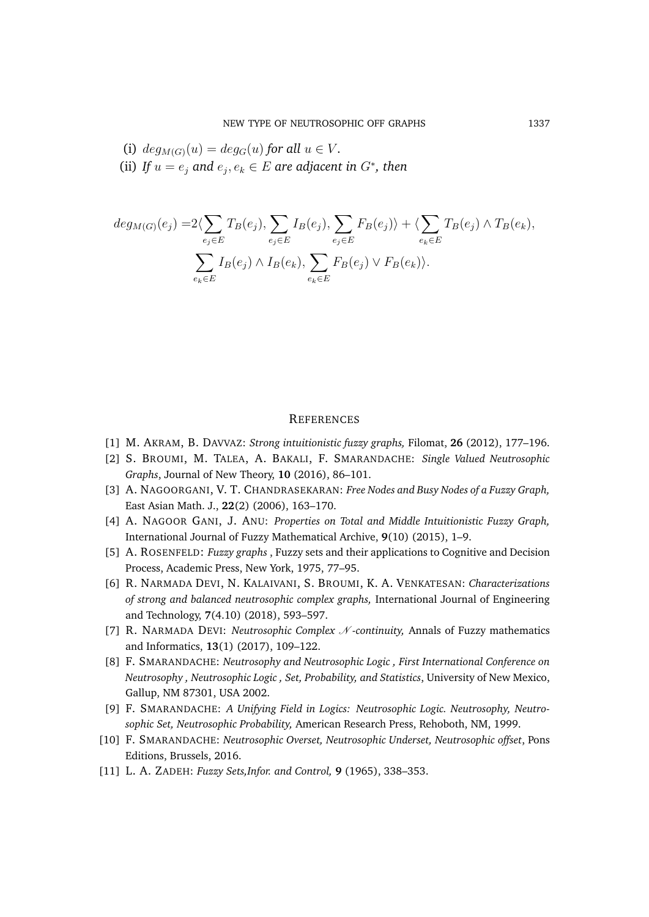(i) 
$$
deg_{M(G)}(u) = deg_G(u)
$$
 for all  $u \in V$ .

(ii) If  $u = e_j$  and  $e_j, e_k \in E$  are adjacent in  $G^*$ , then

$$
deg_{M(G)}(e_j) = 2\langle \sum_{e_j \in E} T_B(e_j), \sum_{e_j \in E} I_B(e_j), \sum_{e_j \in E} F_B(e_j) \rangle + \langle \sum_{e_k \in E} T_B(e_j) \wedge T_B(e_k), \sum_{e_k \in E} I_B(e_j) \wedge I_B(e_k), \sum_{e_k \in E} F_B(e_j) \vee F_B(e_k) \rangle.
$$

#### **REFERENCES**

- [1] M. AKRAM, B. DAVVAZ: *Strong intuitionistic fuzzy graphs,* Filomat, **26** (2012), 177–196.
- [2] S. BROUMI, M. TALEA, A. BAKALI, F. SMARANDACHE: *Single Valued Neutrosophic Graphs*, Journal of New Theory, **10** (2016), 86–101.
- [3] A. NAGOORGANI, V. T. CHANDRASEKARAN: *Free Nodes and Busy Nodes of a Fuzzy Graph,* East Asian Math. J., **22**(2) (2006), 163–170.
- [4] A. NAGOOR GANI, J. ANU: *Properties on Total and Middle Intuitionistic Fuzzy Graph,* International Journal of Fuzzy Mathematical Archive, **9**(10) (2015), 1–9.
- [5] A. ROSENFELD: *Fuzzy graphs* , Fuzzy sets and their applications to Cognitive and Decision Process, Academic Press, New York, 1975, 77–95.
- [6] R. NARMADA DEVI, N. KALAIVANI, S. BROUMI, K. A. VENKATESAN: *Characterizations of strong and balanced neutrosophic complex graphs,* International Journal of Engineering and Technology, **7**(4.10) (2018), 593–597.
- [7] R. NARMADA DEVI: *Neutrosophic Complex N* -continuity, Annals of Fuzzy mathematics and Informatics, **13**(1) (2017), 109–122.
- [8] F. SMARANDACHE: *Neutrosophy and Neutrosophic Logic , First International Conference on Neutrosophy , Neutrosophic Logic , Set, Probability, and Statistics*, University of New Mexico, Gallup, NM 87301, USA 2002.
- [9] F. SMARANDACHE: *A Unifying Field in Logics: Neutrosophic Logic. Neutrosophy, Neutrosophic Set, Neutrosophic Probability,* American Research Press, Rehoboth, NM, 1999.
- [10] F. SMARANDACHE: *Neutrosophic Overset, Neutrosophic Underset, Neutrosophic offset*, Pons Editions, Brussels, 2016.
- [11] L. A. ZADEH: *Fuzzy Sets,Infor. and Control,* **9** (1965), 338–353.